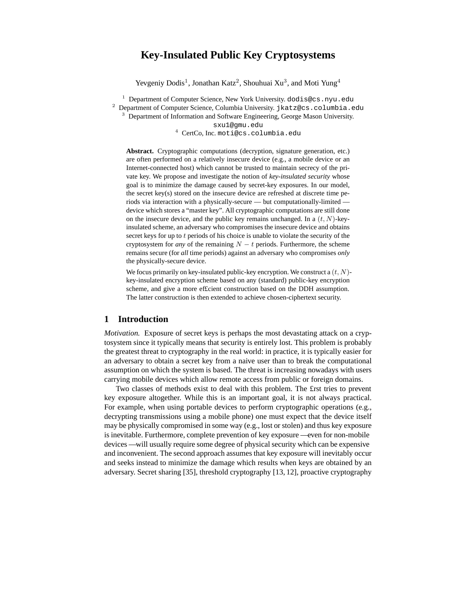# **Key-Insulated Public Key Cryptosystems**

Yevgeniy Dodis<sup>1</sup>, Jonathan Katz<sup>2</sup>, Shouhuai Xu<sup>3</sup>, and Moti Yung<sup>4</sup>

<sup>1</sup> Department of Computer Science, New York University. dodis@cs.nyu.edu

<sup>2</sup> Department of Computer Science, Columbia University. jkatz@cs.columbia.edu

<sup>3</sup> Department of Information and Software Engineering, George Mason University.

sxu1@gmu.edu

<sup>4</sup> CertCo, Inc. moti@cs.columbia.edu

**Abstract.** Cryptographic computations (decryption, signature generation, etc.) are often performed on a relatively insecure device (e.g., a mobile device or an Internet-connected host) which cannot be trusted to maintain secrecy of the private key. We propose and investigate the notion of *key-insulated security* whose goal is to minimize the damage caused by secret-key exposures. In our model, the secret key(s) stored on the insecure device are refreshed at discrete time periods via interaction with a physically-secure — but computationally-limited device which stores a "master key". All cryptographic computations are still done on the insecure device, and the public key remains unchanged. In a  $(t, N)$ -keyinsulated scheme, an adversary who compromises the insecure device and obtains secret keys for up to t periods of his choice is unable to violate the security of the cryptosystem for *any* of the remaining  $N - t$  periods. Furthermore, the scheme remains secure (for *all* time periods) against an adversary who compromises *only* the physically-secure device.

We focus primarily on key-insulated public-key encryption. We construct a  $(t, N)$ key-insulated encryption scheme based on any (standard) public-key encryption scheme, and give a more ef£cient construction based on the DDH assumption. The latter construction is then extended to achieve chosen-ciphertext security.

## **1 Introduction**

*Motivation.* Exposure of secret keys is perhaps the most devastating attack on a cryptosystem since it typically means that security is entirely lost. This problem is probably the greatest threat to cryptography in the real world: in practice, it is typically easier for an adversary to obtain a secret key from a naive user than to break the computational assumption on which the system is based. The threat is increasing nowadays with users carrying mobile devices which allow remote access from public or foreign domains.

Two classes of methods exist to deal with this problem. The £rst tries to prevent key exposure altogether. While this is an important goal, it is not always practical. For example, when using portable devices to perform cryptographic operations (e.g., decrypting transmissions using a mobile phone) one must expect that the device itself may be physically compromised in some way (e.g., lost or stolen) and thus key exposure is inevitable. Furthermore, complete prevention of key exposure — even for non-mobile devices — will usually require some degree of physical security which can be expensive and inconvenient. The second approach assumes that key exposure will inevitably occur and seeks instead to minimize the damage which results when keys are obtained by an adversary. Secret sharing [35], threshold cryptography [13, 12], proactive cryptography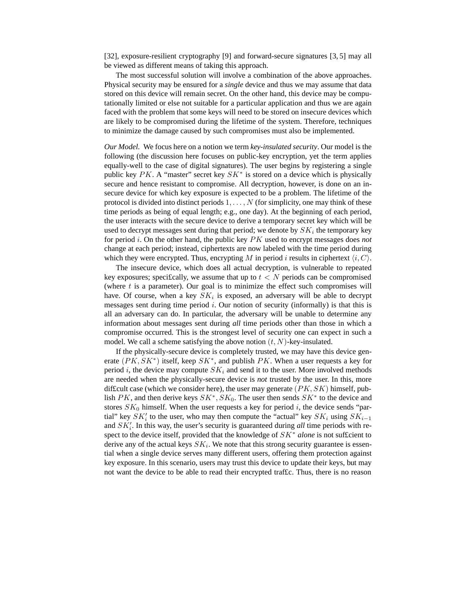[32], exposure-resilient cryptography [9] and forward-secure signatures [3, 5] may all be viewed as different means of taking this approach.

The most successful solution will involve a combination of the above approaches. Physical security may be ensured for a *single* device and thus we may assume that data stored on this device will remain secret. On the other hand, this device may be computationally limited or else not suitable for a particular application and thus we are again faced with the problem that some keys will need to be stored on insecure devices which are likely to be compromised during the lifetime of the system. Therefore, techniques to minimize the damage caused by such compromises must also be implemented.

*Our Model.* We focus here on a notion we term *key-insulated security*. Our model is the following (the discussion here focuses on public-key encryption, yet the term applies equally-well to the case of digital signatures). The user begins by registering a single public key  $PK$ . A "master" secret key  $SK^*$  is stored on a device which is physically secure and hence resistant to compromise. All decryption, however, is done on an insecure device for which key exposure is expected to be a problem. The lifetime of the protocol is divided into distinct periods  $1, \ldots, N$  (for simplicity, one may think of these time periods as being of equal length; e.g., one day). At the beginning of each period, the user interacts with the secure device to derive a temporary secret key which will be used to decrypt messages sent during that period; we denote by  $SK_i$  the temporary key for period i. On the other hand, the public key PK used to encrypt messages does *not* change at each period; instead, ciphertexts are now labeled with the time period during which they were encrypted. Thus, encrypting M in period i results in ciphertext  $\langle i, C \rangle$ .

The insecure device, which does all actual decryption, is vulnerable to repeated key exposures; specifically, we assume that up to  $t < N$  periods can be compromised (where  $t$  is a parameter). Our goal is to minimize the effect such compromises will have. Of course, when a key  $SK_i$  is exposed, an adversary will be able to decrypt messages sent during time period  $i$ . Our notion of security (informally) is that this is all an adversary can do. In particular, the adversary will be unable to determine any information about messages sent during *all* time periods other than those in which a compromise occurred. This is the strongest level of security one can expect in such a model. We call a scheme satisfying the above notion  $(t, N)$ -key-insulated.

If the physically-secure device is completely trusted, we may have this device generate  $(PK, SK^*)$  itself, keep  $SK^*$ , and publish PK. When a user requests a key for period i, the device may compute  $SK_i$  and send it to the user. More involved methods are needed when the physically-secure device is *not* trusted by the user. In this, more difficult case (which we consider here), the user may generate  $(PK, SK)$  himself, publish  $PK$ , and then derive keys  $SK^*$ ,  $SK_0$ . The user then sends  $SK^*$  to the device and stores  $SK_0$  himself. When the user requests a key for period i, the device sends "partial" key  $SK_i'$  to the user, who may then compute the "actual" key  $SK_i$  using  $SK_{i-1}$ and  $SK_i'$ . In this way, the user's security is guaranteed during *all* time periods with respect to the device itself, provided that the knowledge of SK<sup>∗</sup> *alone* is not suf£cient to derive any of the actual keys  $SK_i$ . We note that this strong security guarantee is essential when a single device serves many different users, offering them protection against key exposure. In this scenario, users may trust this device to update their keys, but may not want the device to be able to read their encrypted traf£c. Thus, there is no reason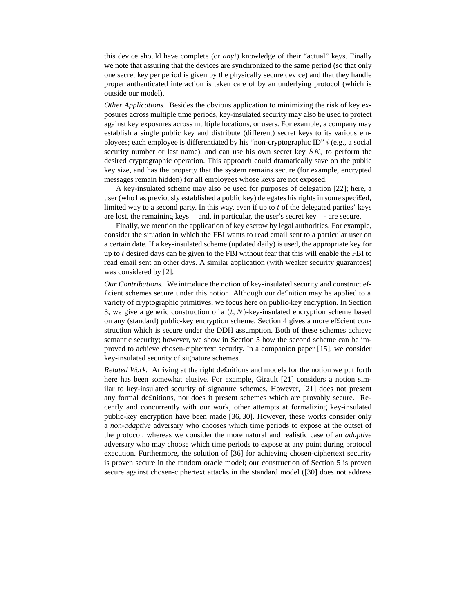this device should have complete (or *any*!) knowledge of their "actual" keys. Finally we note that assuring that the devices are synchronized to the same period (so that only one secret key per period is given by the physically secure device) and that they handle proper authenticated interaction is taken care of by an underlying protocol (which is outside our model).

*Other Applications.* Besides the obvious application to minimizing the risk of key exposures across multiple time periods, key-insulated security may also be used to protect against key exposures across multiple locations, or users. For example, a company may establish a single public key and distribute (different) secret keys to its various employees; each employee is differentiated by his "non-cryptographic ID"  $i$  (e.g., a social security number or last name), and can use his own secret key  $SK_i$  to perform the desired cryptographic operation. This approach could dramatically save on the public key size, and has the property that the system remains secure (for example, encrypted messages remain hidden) for all employees whose keys are not exposed.

A key-insulated scheme may also be used for purposes of delegation [22]; here, a user (who has previously established a public key) delegates his rights in some specified, limited way to a second party. In this way, even if up to  $t$  of the delegated parties' keys are lost, the remaining keys — and, in particular, the user's secret key —- are secure.

Finally, we mention the application of key escrow by legal authorities. For example, consider the situation in which the FBI wants to read email sent to a particular user on a certain date. If a key-insulated scheme (updated daily) is used, the appropriate key for up to t desired days can be given to the FBI without fear that this will enable the FBI to read email sent on other days. A similar application (with weaker security guarantees) was considered by [2].

*Our Contributions.* We introduce the notion of key-insulated security and construct ef- £cient schemes secure under this notion. Although our de£nition may be applied to a variety of cryptographic primitives, we focus here on public-key encryption. In Section 3, we give a generic construction of a  $(t, N)$ -key-insulated encryption scheme based on any (standard) public-key encryption scheme. Section 4 gives a more ef£cient construction which is secure under the DDH assumption. Both of these schemes achieve semantic security; however, we show in Section 5 how the second scheme can be improved to achieve chosen-ciphertext security. In a companion paper [15], we consider key-insulated security of signature schemes.

*Related Work.* Arriving at the right de£nitions and models for the notion we put forth here has been somewhat elusive. For example, Girault [21] considers a notion similar to key-insulated security of signature schemes. However, [21] does not present any formal de£nitions, nor does it present schemes which are provably secure. Recently and concurrently with our work, other attempts at formalizing key-insulated public-key encryption have been made [36, 30]. However, these works consider only a *non-adaptive* adversary who chooses which time periods to expose at the outset of the protocol, whereas we consider the more natural and realistic case of an *adaptive* adversary who may choose which time periods to expose at any point during protocol execution. Furthermore, the solution of [36] for achieving chosen-ciphertext security is proven secure in the random oracle model; our construction of Section 5 is proven secure against chosen-ciphertext attacks in the standard model ([30] does not address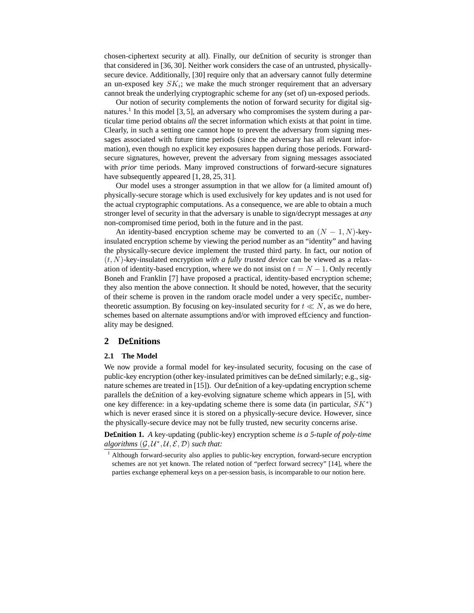chosen-ciphertext security at all). Finally, our de£nition of security is stronger than that considered in [36, 30]. Neither work considers the case of an untrusted, physicallysecure device. Additionally, [30] require only that an adversary cannot fully determine an un-exposed key  $SK_i$ ; we make the much stronger requirement that an adversary cannot break the underlying cryptographic scheme for any (set of) un-exposed periods.

Our notion of security complements the notion of forward security for digital signatures.<sup>1</sup> In this model [3, 5], an adversary who compromises the system during a particular time period obtains *all* the secret information which exists at that point in time. Clearly, in such a setting one cannot hope to prevent the adversary from signing messages associated with future time periods (since the adversary has all relevant information), even though no explicit key exposures happen during those periods. Forwardsecure signatures, however, prevent the adversary from signing messages associated with *prior* time periods. Many improved constructions of forward-secure signatures have subsequently appeared [1, 28, 25, 31].

Our model uses a stronger assumption in that we allow for (a limited amount of) physically-secure storage which is used exclusively for key updates and is not used for the actual cryptographic computations. As a consequence, we are able to obtain a much stronger level of security in that the adversary is unable to sign/decrypt messages at *any* non-compromised time period, both in the future and in the past.

An identity-based encryption scheme may be converted to an  $(N - 1, N)$ -keyinsulated encryption scheme by viewing the period number as an "identity" and having the physically-secure device implement the trusted third party. In fact, our notion of (t, N)-key-insulated encryption *with a fully trusted device* can be viewed as a relaxation of identity-based encryption, where we do not insist on  $t = N - 1$ . Only recently Boneh and Franklin [7] have proposed a practical, identity-based encryption scheme; they also mention the above connection. It should be noted, however, that the security of their scheme is proven in the random oracle model under a very speci£c, numbertheoretic assumption. By focusing on key-insulated security for  $t \ll N$ , as we do here, schemes based on alternate assumptions and/or with improved ef£ciency and functionality may be designed.

### **2 De£nitions**

#### **2.1 The Model**

We now provide a formal model for key-insulated security, focusing on the case of public-key encryption (other key-insulated primitives can be de£ned similarly; e.g., signature schemes are treated in [15]). Our de£nition of a key-updating encryption scheme parallels the de£nition of a key-evolving signature scheme which appears in [5], with one key difference: in a key-updating scheme there is some data (in particular,  $SK^*$ ) which is never erased since it is stored on a physically-secure device. However, since the physically-secure device may not be fully trusted, new security concerns arise.

**De£nition 1.** *A* key-updating (public-key) encryption scheme *is a 5-tuple of poly-time*  $algorithms (\mathcal{G}, \mathcal{U}^*, \mathcal{U}, \mathcal{E}, \mathcal{D})$  *such that:* 

<sup>&</sup>lt;sup>1</sup> Although forward-security also applies to public-key encryption, forward-secure encryption schemes are not yet known. The related notion of "perfect forward secrecy" [14], where the parties exchange ephemeral keys on a per-session basis, is incomparable to our notion here.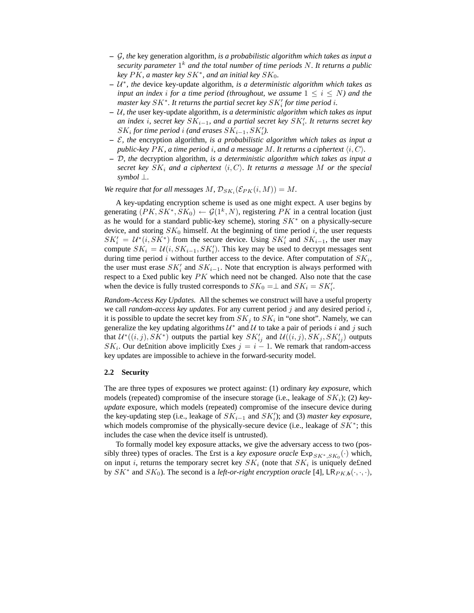- **–** G*, the* key generation algorithm*, is a probabilistic algorithm which takes as input a security parameter* 1 <sup>k</sup> *and the total number of time periods* N*. It returns a public key* PK*, a master key* SK<sup>∗</sup> *, and an initial key* SK0*.*
- **–** U ∗ *, the* device key-update algorithm*, is a deterministic algorithm which takes as input an index i for a time period* (*throughout, we assume*  $1 \leq i \leq N$ ) *and the*  $\mathit{master}$   $\mathit{key}$   $\mathit{SK}^*$ . It returns the partial secret  $\mathit{key}$   $\mathit{SK}'_i$  for time period  $i.$
- **–** U*, the* user key-update algorithm*, is a deterministic algorithm which takes as input*  $an$  *index i*, *secret*  $key$   $SK_{i-1}$ *, and a partial secret key*  $SK'_{i}$ *. It returns secret key*  $SK_i$  *for time period i (and erases*  $SK_{i-1}, SK'_i$ ).
- **–** E*, the* encryption algorithm*, is a probabilistic algorithm which takes as input a public-key*  $PK$ , *a time period i*, *and a message* M. It *returns a ciphertext*  $\langle i, C \rangle$ .
- **–** D*, the* decryption algorithm*, is a deterministic algorithm which takes as input a secret* key  $SK_i$  and a ciphertext  $\langle i, C \rangle$ . It returns a message M or the special *symbol* ⊥*.*

*We require that for all messages*  $M$ ,  $\mathcal{D}_{SK_i}(\mathcal{E}_{PK}(i,M)) = M$ .

A key-updating encryption scheme is used as one might expect. A user begins by generating  $(PK, SK^*, SK_0) \leftarrow \mathcal{G}(1^k, N)$ , registering PK in a central location (just as he would for a standard public-key scheme), storing  $SK^*$  on a physically-secure device, and storing  $SK_0$  himself. At the beginning of time period i, the user requests  $SK_i' = U^*(i, SK^*)$  from the secure device. Using  $SK_i'$  and  $SK_{i-1}$ , the user may compute  $SK_i = U(i, SK_{i-1}, SK'_i)$ . This key may be used to decrypt messages sent during time period i without further access to the device. After computation of  $SK_i$ , the user must erase  $SK_i'$  and  $SK_{i-1}$ . Note that encryption is always performed with respect to a £xed public key PK which need not be changed. Also note that the case when the device is fully trusted corresponds to  $SK_0 = \perp$  and  $SK_i = SK'_i$ .

*Random-Access Key Updates.* All the schemes we construct will have a useful property we call *random-access key updates*. For any current period j and any desired period i, it is possible to update the secret key from  $SK_j$  to  $SK_i$  in "one shot". Namely, we can generalize the key updating algorithms  $\mathcal{U}^*$  and  $\mathcal{U}$  to take a pair of periods i and j such that  $\mathcal{U}^*((i,j),SK^*)$  outputs the partial key  $SK'_{ij}$  and  $\mathcal{U}((i,j), SK_j, SK'_{ij})$  outputs  $SK_i$ . Our definition above implicitly fixes  $j = i - 1$ . We remark that random-access key updates are impossible to achieve in the forward-security model.

#### **2.2 Security**

The are three types of exposures we protect against: (1) ordinary *key exposure*, which models (repeated) compromise of the insecure storage (i.e., leakage of  $SK_i$ ); (2) *keyupdate* exposure, which models (repeated) compromise of the insecure device during the key-updating step (i.e., leakage of  $SK_{i-1}$  and  $SK_i'$ ); and (3) *master key exposure*, which models compromise of the physically-secure device (i.e., leakage of  $SK^*$ ; this includes the case when the device itself is untrusted).

To formally model key exposure attacks, we give the adversary access to two (possibly three) types of oracles. The £rst is a *key exposure oracle*  $\text{Exp}_{SK^*,SK_0}(\cdot)$  which, on input *i*, returns the temporary secret key  $SK_i$  (note that  $SK_i$  is uniquely defined by  $SK^*$  and  $SK_0$ ). The second is a *left-or-right encryption oracle* [4],  $LR_{PK,b}(\cdot, \cdot, \cdot)$ ,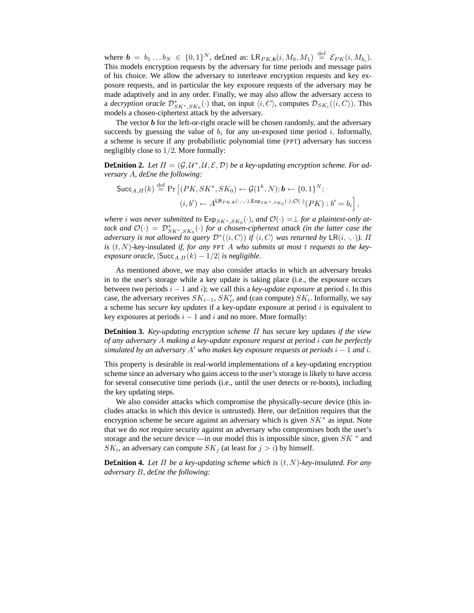where  $\mathbf{b} = b_1 \dots b_N \in \{0,1\}^N$ , defined as:  $\mathsf{LR}_{PK,b}(i, M_0, M_1) \stackrel{\text{def}}{=} \mathcal{E}_{PK}(i, M_{b_i})$ . This models encryption requests by the adversary for time periods and message pairs of his choice. We allow the adversary to interleave encryption requests and key exposure requests, and in particular the key exposure requests of the adversary may be made adaptively and in any order. Finally, we may also allow the adversary access to a *decryption oracle*  $\mathcal{D}_{SK^*,SK_0}^*(\cdot)$  that, on input  $\langle i, C \rangle$ , computes  $\mathcal{D}_{SK_i}(\langle i, C \rangle)$ . This models a chosen-ciphertext attack by the adversary.

The vector  **for the left-or-right oracle will be chosen randomly, and the adversary** succeeds by guessing the value of  $b_i$  for any un-exposed time period i. Informally, a scheme is secure if any probabilistic polynomial time (PPT) adversary has success negligibly close to 1/2. More formally:

**Definition 2.** Let  $\Pi = (\mathcal{G}, \mathcal{U}^*, \mathcal{U}, \mathcal{E}, \mathcal{D})$  be a key-updating encryption scheme. For ad*versary* A*, de£ne the following:*

$$
\begin{aligned} \mathsf{Succ}_{A,\Pi}(k) & \stackrel{\text{def}}{=} \Pr\left[ (PK, SK^*, SK_0) \leftarrow \mathcal{G}(1^k, N); \mathbf{b} \leftarrow \{0, 1\}^N; \\ (i, b') & \leftarrow A^{\mathsf{LR}_{PK, \mathbf{b}}(\cdot, \cdot, \cdot), \mathsf{Exp}_{SK^*, SK_0}(\cdot), \mathcal{O}(\cdot)}(PK) : b' = b_i \right], \end{aligned}
$$

 $\omega$  *where i* was never submitted to  $\mathsf{Exp}_{SK^*,SK_0}(\cdot)$ , and  $\mathcal{O}(\cdot) = \perp$  for a plaintext-only at- $\text{tack}$  and  $\mathcal{O}(\cdot) = \mathcal{D}_{SK^*,SK_0}^*(\cdot)$  for a chosen-ciphertext attack (in the latter case the *adversary is not allowed to query*  $\mathcal{D}^*(\langle i, C \rangle)$  *if*  $\langle i, C \rangle$  *was returned by*  $\mathsf{LR}(i, \cdot, \cdot)$ *).*  $\Pi$ *is* (t, N)-key-insulated *if, for any* PPT A *who submits at most* t *requests to the keyexposure oracle,*  $|\text{Succ}_{A,\Pi}(k) - 1/2|$  *is negligible.* 

As mentioned above, we may also consider attacks in which an adversary breaks in to the user's storage while a key update is taking place (i.e., the exposure occurs between two periods i − 1 and i); we call this a *key-update exposure* at period i. In this case, the adversary receives  $SK_{i-1}$ ,  $SK_i'$ , and (can compute)  $SK_i$ . Informally, we say a scheme has *secure key updates* if a key-update exposure at period i is equivalent to key exposures at periods  $i - 1$  and i and no more. More formally:

**De£nition 3.** *Key-updating encryption scheme* Π *has* secure key updates *if the view of any adversary* A *making a key-update exposure request at period* i *can be perfectly simulated by* an adversary  $A'$  who makes key exposure requests at periods  $i - 1$  and i.

This property is desirable in real-world implementations of a key-updating encryption scheme since an adversary who gains access to the user's storage is likely to have access for several consecutive time periods (i.e., until the user detects or re-boots), including the key updating steps.

We also consider attacks which compromise the physically-secure device (this includes attacks in which this device is untrusted). Here, our de£nition requires that the encryption scheme be secure against an adversary which is given  $SK^*$  as input. Note that we do *not* require security against an adversary who compromises both the user's storage and the secure device —in our model this is impossible since, given  $SK^*$  and  $SK_i$ , an adversary can compute  $SK_j$  (at least for  $j > i$ ) by himself.

**Definition 4.** Let  $\Pi$  be a key-updating scheme which is  $(t, N)$ -key-insulated. For any *adversary* B*, de£ne the following:*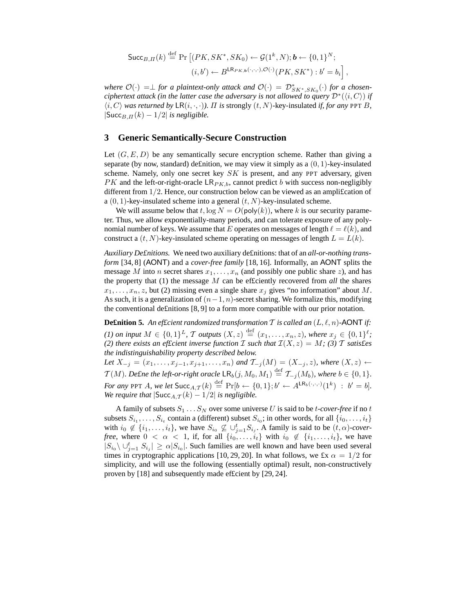$$
\begin{aligned} \mathsf{Succ}_{B,\Pi}(k) & \stackrel{\text{def}}{=} \Pr\left[ (PK, SK^*, SK_0) \leftarrow \mathcal{G}(1^k, N); \mathbf{b} \leftarrow \{0, 1\}^N; \\ (i, b') & \leftarrow B^{\mathsf{LR}_{PK, \mathbf{b}}(\cdot, \cdot, \cdot), \mathcal{O}(\cdot)}(PK, SK^*) : b' = b_i \right], \end{aligned}
$$

*where*  $\mathcal{O}(\cdot) = \perp$  *for a plaintext-only attack and*  $\mathcal{O}(\cdot) = \mathcal{D}_{SK^*,SK_0}^*(\cdot)$  *for a chosenciphertext attack (in the latter case the adversary is not allowed to query*  $\mathcal{D}^*(\langle i, C \rangle)$  *if*  $\langle i, C \rangle$  *was returned by*  $LR(i, \cdot, \cdot)$ *).*  $\Pi$  *is strongly*  $(t, N)$ -key-insulated *if, for any* PPT B,  $|\text{Succ}_{B,\Pi}(k) - 1/2|$  *is negligible.* 

### **3 Generic Semantically-Secure Construction**

Let  $(G, E, D)$  be any semantically secure encryption scheme. Rather than giving a separate (by now, standard) definition, we may view it simply as a  $(0, 1)$ -key-insulated scheme. Namely, only one secret key  $SK$  is present, and any PPT adversary, given  $PK$  and the left-or-right-oracle  $LR_{PK,b}$ , cannot predict b with success non-negligibly different from 1/2. Hence, our construction below can be viewed as an ampli£cation of a  $(0, 1)$ -key-insulated scheme into a general  $(t, N)$ -key-insulated scheme.

We will assume below that t,  $\log N = O(poly(k))$ , where k is our security parameter. Thus, we allow exponentially-many periods, and can tolerate exposure of any polynomial number of keys. We assume that E operates on messages of length  $\ell = \ell(k)$ , and construct a  $(t, N)$ -key-insulated scheme operating on messages of length  $L = L(k)$ .

*Auxiliary De£nitions.* We need two auxiliary de£nitions: that of an *all-or-nothing transform* [34, 8] (AONT) and a *cover-free family* [18, 16]. Informally, an AONT splits the message M into n secret shares  $x_1, \ldots, x_n$  (and possibly one public share z), and has the property that (1) the message M can be ef£ciently recovered from *all* the shares  $x_1, \ldots, x_n, z$ , but (2) missing even a single share  $x_j$  gives "no information" about M. As such, it is a generalization of  $(n-1, n)$ -secret sharing. We formalize this, modifying the conventional de£nitions [8, 9] to a form more compatible with our prior notation.

**Definition 5.** An efficient randomized transformation T is called an  $(L, \ell, n)$ -AONT if: *(1) on input*  $M \in \{0,1\}^L$ , T *outputs*  $(X, z) \stackrel{\text{def}}{=} (x_1, \ldots, x_n, z)$ , *where*  $x_j \in \{0,1\}^{\ell}$ ; *(2) there exists an effcient inverse function*  $I$  *such that*  $I(X, z) = M$ *; (3)*  $T$  *satisfes the indistinguishability property described below.*

*Let*  $X_{-j} = (x_1, \ldots, x_{j-1}, x_{j+1}, \ldots, x_n)$  *and*  $\mathcal{T}_{-j}(M) = (X_{-j}, z)$ *, where*  $(X, z)$  ←  $\mathcal{T}(M)$ *. De£ne the left-or-right oracle*  $\mathsf{LR}_b(j, M_0, M_1) \stackrel{\text{def}}{=} \mathcal{T}_{-j}(M_b)$ *, where*  $b \in \{0, 1\}$ *. For any* PPT A, we let  $\textsf{Succ}_{A,\mathcal{T}}(k) \stackrel{\text{def}}{=} \Pr[b \leftarrow \{0,1\}; b' \leftarrow A^{\textsf{LR}_b(\cdot,\cdot,\cdot)}(1^k) : b' = b].$ *We require that*  $|\text{Succ}_{A,\mathcal{T}}(k) - 1/2|$  *is negligible.* 

A family of subsets  $S_1 \ldots S_N$  over some universe U is said to be *t*-cover-free if no *t* subsets  $S_{i_1}, \ldots, S_{i_t}$  contain a (different) subset  $S_{i_0}$ ; in other words, for all  $\{i_0, \ldots, i_t\}$ with  $i_0 \notin \{i_1, \ldots, i_t\}$ , we have  $S_{i_0} \not\subseteq \bigcup_{j=1}^t S_{i_j}$ . A family is said to be  $(t, \alpha)$ -cover*free*, where  $0 < \alpha < 1$ , if, for all  $\{i_0, \ldots, i_t\}$  with  $i_0 \notin \{i_1, \ldots, i_t\}$ , we have  $|S_{i_0} \setminus \cup_{j=1}^t S_{i_j}| \geq \alpha |S_{i_0}|$ . Such families are well known and have been used several times in cryptographic applications [10, 29, 20]. In what follows, we £x  $\alpha = 1/2$  for simplicity, and will use the following (essentially optimal) result, non-constructively proven by [18] and subsequently made ef£cient by [29, 24].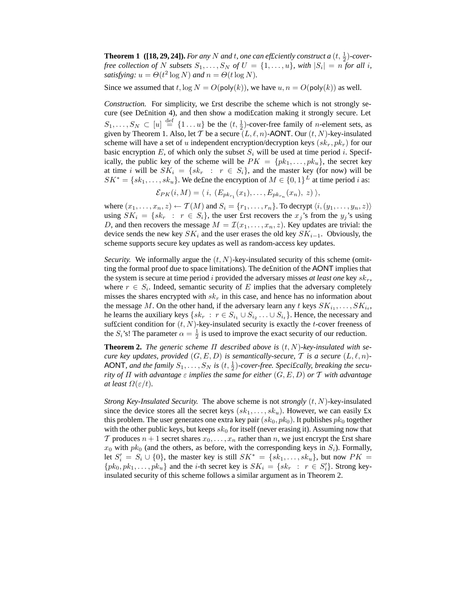**Theorem 1** ([18, 29, 24]). For any N and t, one can efficiently construct a  $(t, \frac{1}{2})$ -cover*free collection of* N *subsets*  $S_1, \ldots, S_N$  *of*  $U = \{1, \ldots, u\}$ *, with*  $|S_i| = n$  *for all i*, *satisfying:*  $u = \Theta(t^2 \log N)$  *and*  $n = \Theta(t \log N)$ *.* 

Since we assumed that t,  $\log N = O(\text{poly}(k))$ , we have  $u, n = O(\text{poly}(k))$  as well.

*Construction.* For simplicity, we £rst describe the scheme which is not strongly secure (see De£nition 4), and then show a modi£cation making it strongly secure. Let  $S_1, \ldots, S_N \subset [u] \stackrel{\text{def}}{=} \{1 \ldots u\}$  be the  $(t, \frac{1}{2})$ -cover-free family of *n*-element sets, as given by Theorem 1. Also, let T be a secure  $(L, \ell, n)$ -AONT. Our  $(t, N)$ -key-insulated scheme will have a set of u independent encryption/decryption keys  $(s_k, pk_r)$  for our basic encryption E, of which only the subset  $S_i$  will be used at time period i. Specifically, the public key of the scheme will be  $PK = \{pk_1, \ldots, pk_u\}$ , the secret key at time i will be  $SK_i = \{sk_r : r \in S_i\}$ , and the master key (for now) will be  $SK^* = \{sk_1, \ldots, sk_u\}$ . We define the encryption of  $M \in \{0,1\}^L$  at time period *i* as:

$$
\mathcal{E}_{PK}(i,M) = \langle i, (E_{pk_{r_1}}(x_1), \ldots, E_{pk_{r_n}}(x_n), z) \rangle,
$$

where  $(x_1, \ldots, x_n, z) \leftarrow \mathcal{T}(M)$  and  $S_i = \{r_1, \ldots, r_n\}$ . To decrypt  $\langle i, (y_1, \ldots, y_n, z) \rangle$ using  $SK_i = \{sk_r : r \in S_i\}$ , the user £rst recovers the  $x_j$ 's from the  $y_j$ 's using D, and then recovers the message  $M = \mathcal{I}(x_1, \ldots, x_n, z)$ . Key updates are trivial: the device sends the new key  $SK_i$  and the user erases the old key  $SK_{i-1}$ . Obviously, the scheme supports secure key updates as well as random-access key updates.

*Security.* We informally argue the  $(t, N)$ -key-insulated security of this scheme (omitting the formal proof due to space limitations). The de£nition of the AONT implies that the system is secure at time period i provided the adversary misses *at least one* key  $sk_r$ , where  $r \in S_i$ . Indeed, semantic security of E implies that the adversary completely misses the shares encrypted with  $sk_r$  in this case, and hence has no information about the message M. On the other hand, if the adversary learn any t keys  $SK_{i_1}, \ldots, SK_{i_t}$ , he learns the auxiliary keys  $\{sk_r : r \in S_{i_1} \cup S_{i_2} \dots \cup S_{i_t}\}\.$  Hence, the necessary and sufficient condition for  $(t, N)$ -key-insulated security is exactly the t-cover freeness of the  $S_i$ 's! The parameter  $\alpha = \frac{1}{2}$  is used to improve the exact security of our reduction.

**Theorem 2.** The generic scheme  $\Pi$  described above is  $(t, N)$ -key-insulated with se*cure key updates, provided*  $(G, E, D)$  *is semantically-secure,*  $T$  *is a secure*  $(L, \ell, n)$ *-*AONT, and the family  $S_1, \ldots, S_N$  is  $(t, \frac{1}{2})$ -cover-free. Specifically, breaking the secu*rity of*  $\Pi$  *with advantage*  $\varepsilon$  *implies the same for either*  $(G, E, D)$  *or*  $T$  *with advantage at least*  $\Omega(\varepsilon/t)$ *.* 

*Strong Key-Insulated Security.* The above scheme is not *strongly* (t, N)-key-insulated since the device stores all the secret keys  $(sk_1, \ldots, sk_u)$ . However, we can easily £x this problem. The user generates one extra key pair  $(sk_0, pk_0$ ). It publishes  $pk_0$  together with the other public keys, but keeps  $sk_0$  for itself (never erasing it). Assuming now that T produces  $n + 1$  secret shares  $x_0, \ldots, x_n$  rather than n, we just encrypt the £rst share  $x_0$  with  $pk_0$  (and the others, as before, with the corresponding keys in  $S_i$ ). Formally, let  $S_i' = S_i \cup \{0\}$ , the master key is still  $SK^* = \{sk_1, \ldots, sk_u\}$ , but now  $PK =$  $\{pk_0, pk_1, \ldots, pk_u\}$  and the *i*-th secret key is  $SK_i = \{sk_r : r \in S'_i\}$ . Strong keyinsulated security of this scheme follows a similar argument as in Theorem 2.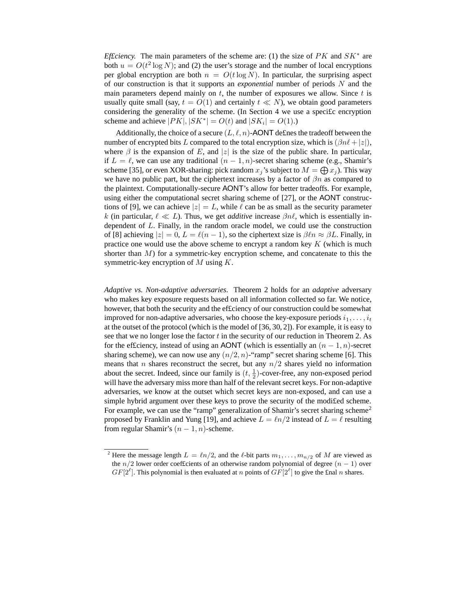*Ef£ciency*. The main parameters of the scheme are: (1) the size of  $PK$  and  $SK^*$  are both  $u = O(t^2 \log N)$ ; and (2) the user's storage and the number of local encryptions per global encryption are both  $n = O(t \log N)$ . In particular, the surprising aspect of our construction is that it supports an *exponential* number of periods N and the main parameters depend mainly on  $t$ , the number of exposures we allow. Since  $t$  is usually quite small (say,  $t = O(1)$  and certainly  $t \ll N$ ), we obtain good parameters considering the generality of the scheme. (In Section 4 we use a speci£c encryption scheme and achieve  $|PK|, |SK^*| = O(t)$  and  $|SK_i| = O(1)$ .)

Additionally, the choice of a secure  $(L, \ell, n)$ -AONT defines the tradeoff between the number of encrypted bits L compared to the total encryption size, which is  $(\beta n\ell + |z|)$ , where  $\beta$  is the expansion of E, and |z| is the size of the public share. In particular, if  $L = \ell$ , we can use any traditional  $(n - 1, n)$ -secret sharing scheme (e.g., Shamir's scheme [35], or even XOR-sharing: pick random  $x_j$ 's subject to  $M = \bigoplus x_j$ ). This way we have no public part, but the ciphertext increases by a factor of  $\beta n$  as compared to the plaintext. Computationally-secure AONT's allow for better tradeoffs. For example, using either the computational secret sharing scheme of [27], or the AONT constructions of [9], we can achieve  $|z| = L$ , while  $\ell$  can be as small as the security parameter k (in particular,  $\ell \ll L$ ). Thus, we get *additive* increase  $\beta n\ell$ , which is essentially independent of L. Finally, in the random oracle model, we could use the construction of [8] achieving  $|z| = 0$ ,  $L = \ell(n - 1)$ , so the ciphertext size is  $\beta \ell n \approx \beta L$ . Finally, in practice one would use the above scheme to encrypt a random key  $K$  (which is much shorter than  $M$ ) for a symmetric-key encryption scheme, and concatenate to this the symmetric-key encryption of  $M$  using  $K$ .

*Adaptive vs. Non-adaptive adversaries.* Theorem 2 holds for an *adaptive* adversary who makes key exposure requests based on all information collected so far. We notice, however, that both the security and the ef£ciency of our construction could be somewhat improved for non-adaptive adversaries, who choose the key-exposure periods  $i_1, \ldots, i_t$ at the outset of the protocol (which is the model of [36, 30, 2]). For example, it is easy to see that we no longer lose the factor  $t$  in the security of our reduction in Theorem 2. As for the efficiency, instead of using an AONT (which is essentially an  $(n - 1, n)$ -secret sharing scheme), we can now use any  $(n/2, n)$ -"ramp" secret sharing scheme [6]. This means that *n* shares reconstruct the secret, but any  $n/2$  shares yield no information about the secret. Indeed, since our family is  $(t, \frac{1}{2})$ -cover-free, any non-exposed period will have the adversary miss more than half of the relevant secret keys. For non-adaptive adversaries, we know at the outset which secret keys are non-exposed, and can use a simple hybrid argument over these keys to prove the security of the modi£ed scheme. For example, we can use the "ramp" generalization of Shamir's secret sharing scheme<sup>2</sup> proposed by Franklin and Yung [19], and achieve  $L = \ln/2$  instead of  $L = \ell$  resulting from regular Shamir's  $(n - 1, n)$ -scheme.

<sup>&</sup>lt;sup>2</sup> Here the message length  $L = \ln/2$ , and the  $\ell$ -bit parts  $m_1, \ldots, m_{n/2}$  of M are viewed as the  $n/2$  lower order coefficients of an otherwise random polynomial of degree  $(n - 1)$  over  $GF[2^{\ell}]$ . This polynomial is then evaluated at n points of  $GF[2^{\ell}]$  to give the £nal n shares.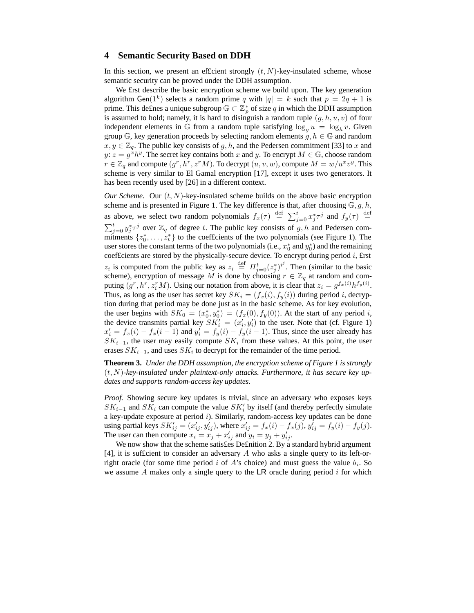## **4 Semantic Security Based on DDH**

In this section, we present an efficient strongly  $(t, N)$ -key-insulated scheme, whose semantic security can be proved under the DDH assumption.

We £rst describe the basic encryption scheme we build upon. The key generation algorithm Gen(1<sup>k</sup>) selects a random prime q with  $|q| = k$  such that  $p = 2q + 1$  is prime. This de£nes a unique subgroup  $\mathbb{G} \subset \mathbb{Z}_p^*$  of size q in which the DDH assumption is assumed to hold; namely, it is hard to disinguish a random tuple  $(g, h, u, v)$  of four independent elements in G from a random tuple satisfying  $\log_g u = \log_h v$ . Given group  $\mathbb{G}$ , key generation proceeds by selecting random elements  $g, h \in \mathbb{G}$  and random  $x, y \in \mathbb{Z}_q$ . The public key consists of g, h, and the Pedersen commitment [33] to x and  $y: z = g^x h^y$ . The secret key contains both x and y. To encrypt  $M \in \mathbb{G}$ , choose random  $r \in \mathbb{Z}_q$  and compute  $(g^r, h^r, z^rM)$ . To decrypt  $(u, v, w)$ , compute  $M = w/u^xv^y$ . This scheme is very similar to El Gamal encryption [17], except it uses two generators. It has been recently used by [26] in a different context.

*Our Scheme.* Our  $(t, N)$ -key-insulated scheme builds on the above basic encryption scheme and is presented in Figure 1. The key difference is that, after choosing  $\mathbb{G}, g, h$ , as above, we select two random polynomials  $f_x(\tau) \stackrel{\text{def}}{=} \sum_{j=0}^t x_j^* \tau^j$  and  $f_y(\tau) \stackrel{\text{def}}{=}$  $\sum_{j=0}^{t} y_j^* \tau^j$  over  $\mathbb{Z}_q$  of degree t. The public key consists of g, h and Pedersen commitments  $\{z_0^*, \ldots, z_t^*\}$  to the coefficients of the two polynomials (see Figure 1). The user stores the constant terms of the two polynomials (i.e.,  $x_0^*$  and  $y_0^*$ ) and the remaining coeffcients are stored by the physically-secure device. To encrypt during period  $i$ , first  $z_i$  is computed from the public key as  $z_i \stackrel{\text{def}}{=} \Pi_{j=0}^t (z_j^*)^{i^j}$ . Then (similar to the basic scheme), encryption of message M is done by choosing  $r \in \mathbb{Z}_q$  at random and computing  $(g^r, h^r, z_i^r M)$ . Using our notation from above, it is clear that  $z_i = g^{f_x(i)} h^{f_y(i)}$ . Thus, as long as the user has secret key  $SK_i = (f_x(i), f_y(i))$  during period i, decryption during that period may be done just as in the basic scheme. As for key evolution, the user begins with  $SK_0 = (x_0^*, y_0^*) = (f_x(0), f_y(0))$ . At the start of any period i, the device transmits partial key  $SK_i' = (x_i', y_i')$  to the user. Note that (cf. Figure 1)  $x'_i = f_x(i) - f_x(i-1)$  and  $y'_i = f_y(i) - f_y(i-1)$ . Thus, since the user already has  $SK_{i-1}$ , the user may easily compute  $SK_i$  from these values. At this point, the user erases  $SK_{i-1}$ , and uses  $SK_i$  to decrypt for the remainder of the time period.

**Theorem 3.** *Under the DDH assumption, the encryption scheme of Figure 1 is strongly* (t, N)*-key-insulated under plaintext-only attacks. Furthermore, it has secure key updates and supports random-access key updates.*

*Proof.* Showing secure key updates is trivial, since an adversary who exposes keys  $SK_{i-1}$  and  $SK_i$  can compute the value  $SK_i'$  by itself (and thereby perfectly simulate a key-update exposure at period i). Similarly, random-access key updates can be done using partial keys  $SK'_{ij} = (x'_{ij}, y'_{ij})$ , where  $x'_{ij} = f_x(i) - f_x(j)$ ,  $y'_{ij} = f_y(i) - f_y(j)$ . The user can then compute  $x_i = x_j + x'_{ij}$  and  $y_i = y_j + y'_{ij}$ .

We now show that the scheme satisfes Definition 2. By a standard hybrid argument [4], it is sufficient to consider an adversary  $A$  who asks a single query to its left-orright oracle (for some time period i of A's choice) and must guess the value  $b_i$ . So we assume  $A$  makes only a single query to the LR oracle during period  $i$  for which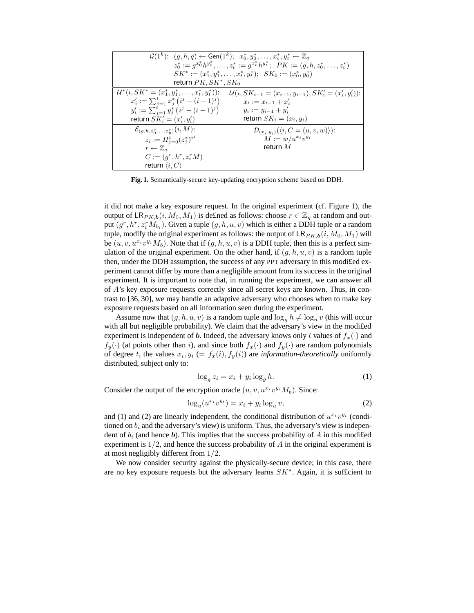| $\mathcal{G}(1^k)$ : $(g, h, q) \leftarrow$ Gen $(1^k)$ ; $x_0^*, y_0^*, \ldots, x_t^*, y_t^* \leftarrow \mathbb{Z}_q$ |                                                                               |
|------------------------------------------------------------------------------------------------------------------------|-------------------------------------------------------------------------------|
| $z_0^* := q^{x_0^*} h^{y_0^*}, \ldots, z_t^* := q^{x_t^*} h^{y_t^*}; \ \ \mathit{PK} := (q, h, z_0^*, \ldots, z_t^*)$  |                                                                               |
| $SK^* := (x_1^*, y_1^*, \ldots, x_t^*, y_t^*)$ ; $SK_0 := (x_0^*, y_0^*)$                                              |                                                                               |
| return $PK, SK^*, SK_0$                                                                                                |                                                                               |
| $\mathcal{U}^*(i, SK^* = (x_1^*, y_1^*, \ldots, x_t^*, y_t^*)$ :                                                       | $\mathcal{U}(i, SK_{i-1} = (x_{i-1}, y_{i-1}), SK'_{i} = (x'_{i}, y'_{i}))$ : |
| $x'_i := \sum_{j=1}^t x_j^* (i^j - (i-1)^j)$                                                                           | $x_i := x_{i-1} + x'_i$                                                       |
| $y'_i := \sum_{j=1}^t y_j^* (i^j - (i-1)^j)$                                                                           | $y_i := y_{i-1} + y'_i$                                                       |
| return $SK'_{i} = (x'_{i}, y'_{i})$                                                                                    | return $SK_i = (x_i, y_i)$                                                    |
| $\mathcal{E}_{(g,h,z_0^*,,z_n^*)}(i,M)$ :                                                                              | $\mathcal{D}_{(x_i,y_i)}(\langle i,C=(u,v,w)\rangle)$ :                       |
| $z_i := \prod_{i=0}^t (z_i^*)^{i^j}$                                                                                   | $M := w/u^{x_i}v^{y_i}$                                                       |
| $r \leftarrow \mathbb{Z}_q$                                                                                            | return $M$                                                                    |
| $C := (q^r, h^r, z_i^r M)$                                                                                             |                                                                               |
| return $\langle i, C \rangle$                                                                                          |                                                                               |

**Fig. 1.** Semantically-secure key-updating encryption scheme based on DDH.

it did not make a key exposure request. In the original experiment (cf. Figure 1), the output of  $\mathsf{LR}_{PK,b}(i, M_0, M_1)$  is defined as follows: choose  $r \in \mathbb{Z}_q$  at random and output  $(g^r, h^r, z_i^r M_{b_i})$ . Given a tuple  $(g, h, u, v)$  which is either a DDH tuple or a random tuple, modify the original experiment as follows: the output of  $\mathsf{LR}_{PK,b}(i, M_0, M_1)$  will be  $(u, v, u^{x_i}v^{y_i}M_b)$ . Note that if  $(g, h, u, v)$  is a DDH tuple, then this is a perfect simulation of the original experiment. On the other hand, if  $(g, h, u, v)$  is a random tuple then, under the DDH assumption, the success of any PPT adversary in this modi£ed experiment cannot differ by more than a negligible amount from its success in the original experiment. It is important to note that, in running the experiment, we can answer all of A's key exposure requests correctly since all secret keys are known. Thus, in contrast to [36, 30], we may handle an adaptive adversary who chooses when to make key exposure requests based on all information seen during the experiment.

Assume now that  $(g, h, u, v)$  is a random tuple and  $\log_g h \neq \log_u v$  (this will occur with all but negligible probability). We claim that the adversary's view in the modifed experiment is independent of b. Indeed, the adversary knows only t values of  $f_x(\cdot)$  and  $f_y(\cdot)$  (at points other than i), and since both  $f_x(\cdot)$  and  $f_y(\cdot)$  are random polynomials of degree t, the values  $x_i, y_i$  (=  $f_x(i), f_y(i)$ ) are *information-theoretically* uniformly distributed, subject only to:

$$
\log_g z_i = x_i + y_i \log_g h. \tag{1}
$$

Consider the output of the encryption oracle  $(u, v, u^{x_i}v^{y_i}M_b)$ . Since:

$$
\log_u(u^{x_i}v^{y_i}) = x_i + y_i \log_u v,\tag{2}
$$

and (1) and (2) are linearly independent, the conditional distribution of  $u^{x_i}v^{y_i}$  (conditioned on  $b_i$  and the adversary's view) is uniform. Thus, the adversary's view is independent of  $b_i$  (and hence b). This implies that the success probability of A in this modified experiment is  $1/2$ , and hence the success probability of  $A$  in the original experiment is at most negligibly different from 1/2.

We now consider security against the physically-secure device; in this case, there are no key exposure requests but the adversary learns  $SK^*$ . Again, it is sufficient to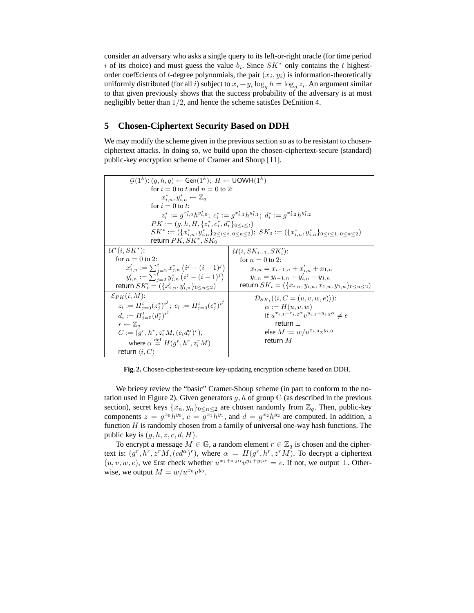consider an adversary who asks a single query to its left-or-right oracle (for time period i of its choice) and must guess the value  $b_i$ . Since  $SK^*$  only contains the t highestorder coefficients of t-degree polynomials, the pair  $(x_i, y_i)$  is information-theoretically uniformly distributed (for all i) subject to  $x_i + y_i \log_q h = \log_q z_i$ . An argument similar to that given previously shows that the success probability of the adversary is at most negligibly better than 1/2, and hence the scheme satis£es De£nition 4.

## **5 Chosen-Ciphertext Security Based on DDH**

We may modify the scheme given in the previous section so as to be resistant to chosenciphertext attacks. In doing so, we build upon the chosen-ciphertext-secure (standard) public-key encryption scheme of Cramer and Shoup [11].

| $\mathcal{G}(1^k)$ : $(q, h, q) \leftarrow$ Gen $(1^k)$ ; $H \leftarrow$ UOWH $(1^k)$                                                          |                                                                            |  |
|------------------------------------------------------------------------------------------------------------------------------------------------|----------------------------------------------------------------------------|--|
| for $i = 0$ to t and $n = 0$ to 2:                                                                                                             |                                                                            |  |
| $x_{i,n}^*, y_{i,n}^* \leftarrow \mathbb{Z}_q$                                                                                                 |                                                                            |  |
| for $i = 0$ to t:                                                                                                                              |                                                                            |  |
| $z_i^* := q^{x_{i,0}^*} h^{y_{i,0}^*}; c_i^* := q^{x_{i,1}^*} h^{y_{i,1}^*}; d_i^* := q^{x_{i,2}^*} h^{y_{i,2}^*}$                             |                                                                            |  |
| $PK := (q, h, H, \{z_i^*, c_i^*, d_i^*\}_{0 \leq i \leq t})$                                                                                   |                                                                            |  |
| $SK^* := (\{x_{i,n}^*, y_{i,n}^*\}_{2 \leq i \leq t, 0 \leq n \leq 2}); SK_0 := (\{x_{i,n}^*, y_{i,n}^*\}_{0 \leq i \leq 1, 0 \leq n \leq 2})$ |                                                                            |  |
| return $PK, SK^*, SK_0$                                                                                                                        |                                                                            |  |
| $\mathcal{U}^*(i, SK^*)$ :                                                                                                                     | $\mathcal{U}(i, SK_{i-1}, SK_i')$ :                                        |  |
| for $n = 0$ to 2:                                                                                                                              | for $n = 0$ to 2:                                                          |  |
| $x'_{i,n} := \sum_{j=2}^{t} x^*_{j,n} (i^j - (i-1)^j)$<br>$y'_{i,n} := \sum_{j=2}^{t} y^*_{j,n} (i^j - (i-1)^j)$                               | $x_{i,n} = x_{i-1,n} + x'_{i,n} + x_{1,n}$                                 |  |
|                                                                                                                                                | $y_{i,n} = y_{i-1,n} + y'_{i,n} + y_{1,n}$                                 |  |
| return $SK'_{i} = (\{x'_{i,n}, y'_{i,n}\}_{0 \leq n \leq 2})$                                                                                  | return $SK_i = (\{x_{i,n}, y_{i,n}, x_{1,n}, y_{1,n}\}_{0 \leq n \leq 2})$ |  |
| $\mathcal{E}_{PK}(i, M)$ :                                                                                                                     | $\mathcal{D}_{SK_i}(\langle i, C=(u, v, w, e \rangle)).$                   |  |
| $z_i := \prod_{j=0}^t (z_i^*)^{i^j}; \ c_i := \prod_{j=0}^t (c_i^*)^{i^j}$                                                                     | $\alpha := H(u, v, w)$                                                     |  |
| $d_i := \prod_{i=0}^t (d_i^*)^{i^j}$                                                                                                           | if $u^{x_{i,1}+x_{i,2}\alpha}v^{y_{i,1}+y_{i,2}\alpha} \neq e$             |  |
| $r \leftarrow \mathbb{Z}_q$                                                                                                                    | return $\perp$                                                             |  |
| $C := (q^r, h^r, z_i^r M, (c_i d_i^{\alpha})^r),$                                                                                              | else $M := w/u^{x_{i,0}}v^{y_{i,0}}$                                       |  |
| where $\alpha \stackrel{\text{def}}{=} H(g^r, h^r, z_i^r M)$                                                                                   | return $M$                                                                 |  |
| return $\langle i, C \rangle$                                                                                                                  |                                                                            |  |

**Fig. 2.** Chosen-ciphertext-secure key-updating encryption scheme based on DDH.

We brie¤y review the "basic" Cramer-Shoup scheme (in part to conform to the notation used in Figure 2). Given generators  $g, h$  of group  $\mathbb{G}$  (as described in the previous section), secret keys  $\{x_n, y_n\}_{0 \leq n \leq 2}$  are chosen randomly from  $\mathbb{Z}_q$ . Then, public-key components  $z = g^{x_0} h^{y_0}$ ,  $c = \overline{g^{x_1}} h^{y_1}$ , and  $d = g^{x_2} h^{y_2}$  are computed. In addition, a function  $H$  is randomly chosen from a family of universal one-way hash functions. The public key is  $(g, h, z, c, d, H)$ .

To encrypt a message  $M \in \mathbb{G}$ , a random element  $r \in \mathbb{Z}_q$  is chosen and the ciphertext is:  $(g^r, h^r, z^r M, (cd^{\alpha})^r)$ , where  $\alpha = H(g^r, h^r, z^r M)$ . To decrypt a ciphertext  $(u, v, w, e)$ , we first check whether  $u^{x_1+x_2\alpha}v^{y_1+y_2\alpha} = e$ . If not, we output  $\perp$ . Otherwise, we output  $M = w/u^{x_0}v^{y_0}$ .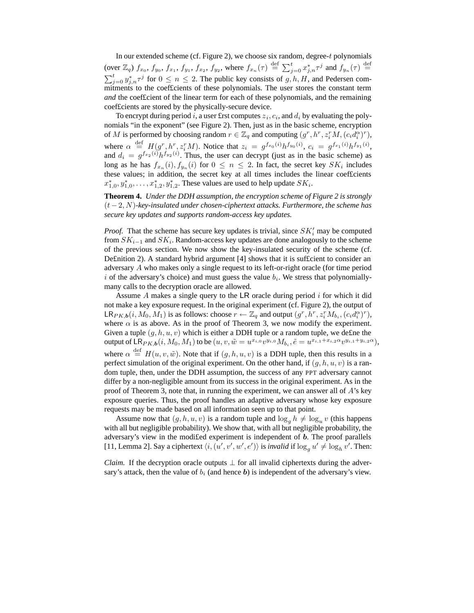In our extended scheme (cf. Figure 2), we choose six random, degree-t polynomials (over  $\mathbb{Z}_q$ )  $f_{x_0}, f_{y_0}, f_{x_1}, f_{y_1}, f_{x_2}, f_{y_2},$  where  $f_{x_n}(\tau) \stackrel{\text{def}}{=} \sum_{j=0}^t x_{j,n}^* \tau^j$  and  $f_{y_n}(\tau) \stackrel{\text{def}}{=}$  $\sum_{j=0}^{t} y_{j,n}^{*} \tau^{j}$  for  $0 \leq n \leq 2$ . The public key consists of  $g, h, H$ , and Pedersen commitments to the coef£cients of these polynomials. The user stores the constant term *and* the coef£cient of the linear term for each of these polynomials, and the remaining coef£cients are stored by the physically-secure device.

To encrypt during period i, a user £rst computes  $z_i, c_i$ , and  $d_i$  by evaluating the polynomials "in the exponent" (see Figure 2). Then, just as in the basic scheme, encryption of M is performed by choosing random  $r \in \mathbb{Z}_q$  and computing  $(g^r, h^r, z_i^r M, (c_i d_i^{\alpha})^r)$ , where  $\alpha \stackrel{\text{def}}{=} H(g^r, h^r, z_i^r M)$ . Notice that  $z_i = g^{f_{x_0}(i)} h^{f_{y_0}(i)}$ ,  $c_i = g^{f_{x_1}(i)} h^{f_{y_1}(i)}$ , and  $d_i = g^{f_{x_2}(i)} h^{f_{y_2}(i)}$ . Thus, the user can decrypt (just as in the basic scheme) as long as he has  $f_{x_n}(i)$ ,  $f_{y_n}(i)$  for  $0 \le n \le 2$ . In fact, the secret key  $SK_i$  includes these values; in addition, the secret key at all times includes the linear coef£cients  $x_{1,0}^*, y_{1,0}^*, \ldots, x_{1,2}^*, y_{1,2}^*$ . These values are used to help update  $SK_i$ .

**Theorem 4.** *Under the DDH assumption, the encryption scheme of Figure 2 is strongly* (t−2, N)*-key-insulated under chosen-ciphertext attacks. Furthermore, the scheme has secure key updates and supports random-access key updates.*

*Proof.* That the scheme has secure key updates is trivial, since  $SK_i'$  may be computed from  $SK_{i-1}$  and  $SK_i$ . Random-access key updates are done analogously to the scheme of the previous section. We now show the key-insulated security of the scheme (cf. De£nition 2). A standard hybrid argument [4] shows that it is suf£cient to consider an adversary A who makes only a single request to its left-or-right oracle (for time period i of the adversary's choice) and must guess the value  $b_i$ . We stress that polynomiallymany calls to the decryption oracle are allowed.

Assume A makes a single query to the LR oracle during period i for which it did not make a key exposure request. In the original experiment (cf. Figure 2), the output of  $\mathsf{LR}_{PK,b}(i, M_0, M_1)$  is as follows: choose  $r \leftarrow \mathbb{Z}_q$  and output  $(g^r, h^r, z_i^r M_{b_i}, (c_i d_i^{\alpha})^r)$ , where  $\alpha$  is as above. As in the proof of Theorem 3, we now modify the experiment. Given a tuple  $(g, h, u, v)$  which is either a DDH tuple or a random tuple, we define the output of  $\mathsf{LR}_{PK,b}(i, M_0, M_1)$  to be  $(u, v, \tilde{w} = u^{x_{i,0}}v^{y_{i,0}}M_{b_i}, \tilde{e} = u^{x_{i,1}+x_{i,2}\alpha}v^{y_{i,1}+y_{i,2}\alpha}),$ where  $\alpha \stackrel{\text{def}}{=} H(u, v, \tilde{w})$ . Note that if  $(g, h, u, v)$  is a DDH tuple, then this results in a perfect simulation of the original experiment. On the other hand, if  $(q, h, u, v)$  is a random tuple, then, under the DDH assumption, the success of any PPT adversary cannot differ by a non-negligible amount from its success in the original experiment. As in the proof of Theorem 3, note that, in running the experiment, we can answer all of A's key exposure queries. Thus, the proof handles an adaptive adversary whose key exposure requests may be made based on all information seen up to that point.

Assume now that  $(g, h, u, v)$  is a random tuple and  $\log_g h \neq \log_u v$  (this happens with all but negligible probability). We show that, with all but negligible probability, the adversary's view in the modified experiment is independent of **. The proof parallels** [11, Lemma 2]. Say a ciphertext  $\langle i, (u', v', w', e') \rangle$  is *invalid* if  $\log_g u' \neq \log_h v'$ . Then:

*Claim.* If the decryption oracle outputs  $\perp$  for all invalid ciphertexts during the adversary's attack, then the value of  $b_i$  (and hence b) is independent of the adversary's view.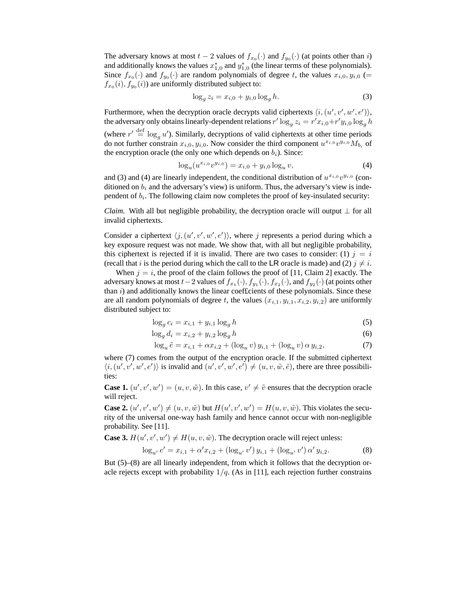The adversary knows at most  $t - 2$  values of  $f_{x_0}(\cdot)$  and  $f_{y_0}(\cdot)$  (at points other than i) and additionally knows the values  $x_{1,0}^*$  and  $y_{1,0}^*$  (the linear terms of these polynomials). Since  $f_{x_0}(\cdot)$  and  $f_{y_0}(\cdot)$  are random polynomials of degree t, the values  $x_{i,0}, y_{i,0}$  (=  $f_{x_0}(i)$ ,  $f_{y_0}(i)$ ) are uniformly distributed subject to:

$$
\log_g z_i = x_{i,0} + y_{i,0} \log_g h. \tag{3}
$$

Furthermore, when the decryption oracle decrypts valid ciphertexts  $\langle i, (u', v', w', e') \rangle$ , the adversary only obtains linearly-dependent relations  $r' \log_g z_i = r' x_{i,0} + r' y_{i,0} \log_g h$ (where  $r' \stackrel{\text{def}}{=} \log_g u'$ ). Similarly, decryptions of valid ciphertexts at other time periods do not further constrain  $x_{i,0}, y_{i,0}$ . Now consider the third component  $u^{x_{i,0}}v^{y_{i,0}}M_{b_i}$  of the encryption oracle (the only one which depends on  $b_i$ ). Since:

$$
\log_u(u^{x_{i,0}}v^{y_{i,0}}) = x_{i,0} + y_{i,0}\log_u v,\tag{4}
$$

and (3) and (4) are linearly independent, the conditional distribution of  $u^{x_{i,0}}v^{y_{i,0}}$  (conditioned on  $b_i$  and the adversary's view) is uniform. Thus, the adversary's view is independent of  $b_i$ . The following claim now completes the proof of key-insulated security:

*Claim.* With all but negligible probability, the decryption oracle will output  $\perp$  for all invalid ciphertexts.

Consider a ciphertext  $\langle j, (u', v', w', e') \rangle$ , where j represents a period during which a key exposure request was not made. We show that, with all but negligible probability, this ciphertext is rejected if it is invalid. There are two cases to consider: (1)  $j = i$ (recall that i is the period during which the call to the LR oracle is made) and (2)  $i \neq i$ .

When  $j = i$ , the proof of the claim follows the proof of [11, Claim 2] exactly. The adversary knows at most  $t-2$  values of  $f_{x_1}(\cdot), f_{y_1}(\cdot), f_{x_2}(\cdot),$  and  $f_{y_2}(\cdot)$  (at points other than  $i$ ) and additionally knows the linear coef $f$ cients of these polynomials. Since these are all random polynomials of degree t, the values  $(x_{i,1}, y_{i,1}, x_{i,2}, y_{i,2})$  are uniformly distributed subject to:

$$
\log_g c_i = x_{i,1} + y_{i,1} \log_g h \tag{5}
$$

$$
\log_g d_i = x_{i,2} + y_{i,2} \log_g h \tag{6}
$$

$$
\log_u \tilde{e} = x_{i,1} + \alpha x_{i,2} + (\log_u v) y_{i,1} + (\log_u v) \alpha y_{i,2},\tag{7}
$$

where (7) comes from the output of the encryption oracle. If the submitted ciphertext  $\langle i, (u', v', w', e') \rangle$  is invalid and  $(u', v', w', e') \neq (u, v, \tilde{w}, \tilde{e})$ , there are three possibilities:

**Case 1.**  $(u', v', w') = (u, v, \tilde{w})$ . In this case,  $v' \neq \tilde{v}$  ensures that the decryption oracle will reject.

**Case 2.**  $(u', v', w') \neq (u, v, \tilde{w})$  but  $H(u', v', w') = H(u, v, \tilde{w})$ . This violates the security of the universal one-way hash family and hence cannot occur with non-negligible probability. See [11].

**Case 3.**  $H(u', v', w') \neq H(u, v, \tilde{w})$ . The decryption oracle will reject unless:

$$
\log_{u'} e' = x_{i,1} + \alpha' x_{i,2} + (\log_{u'} v') y_{i,1} + (\log_{u'} v') \alpha' y_{i,2}.
$$
 (8)

But (5)–(8) are all linearly independent, from which it follows that the decryption oracle rejects except with probability  $1/q$ . (As in [11], each rejection further constrains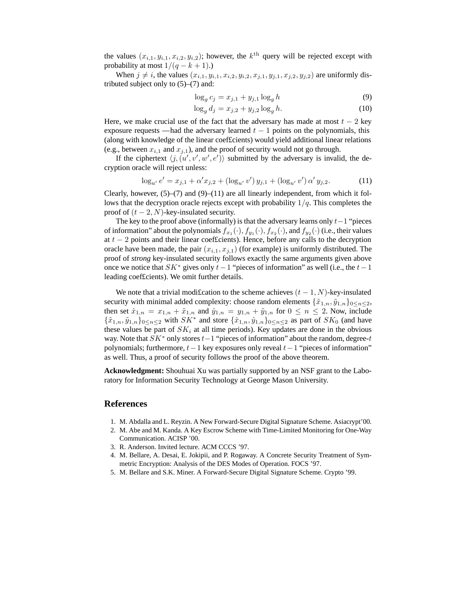the values  $(x_{i,1}, y_{i,1}, x_{i,2}, y_{i,2})$ ; however, the  $k^{\text{th}}$  query will be rejected except with probability at most  $1/(q - k + 1)$ .)

When  $j \neq i$ , the values  $(x_{i,1}, y_{i,1}, x_{i,2}, y_{i,2}, x_{j,1}, y_{j,1}, x_{j,2}, y_{j,2})$  are uniformly distributed subject only to  $(5)$ – $(7)$  and:

$$
\log_g c_j = x_{j,1} + y_{j,1} \log_g h \tag{9}
$$

$$
\log_g d_j = x_{j,2} + y_{j,2} \log_g h. \tag{10}
$$

Here, we make crucial use of the fact that the adversary has made at most  $t - 2$  key exposure requests — had the adversary learned  $t - 1$  points on the polynomials, this (along with knowledge of the linear coef£cients) would yield additional linear relations (e.g., between  $x_{i,1}$  and  $x_{i,1}$ ), and the proof of security would not go through.

If the ciphertext  $\langle j, (u', v', w', e') \rangle$  submitted by the adversary is invalid, the decryption oracle will reject unless:

$$
\log_{u'} e' = x_{j,1} + \alpha' x_{j,2} + (\log_{u'} v') y_{j,1} + (\log_{u'} v') \alpha' y_{j,2}.
$$
 (11)

Clearly, however,  $(5)-(7)$  and  $(9)-(11)$  are all linearly independent, from which it follows that the decryption oracle rejects except with probability  $1/q$ . This completes the proof of  $(t - 2, N)$ -key-insulated security.

The key to the proof above (informally) is that the adversary learns only  $t-1$  "pieces of information" about the polynomials  $f_{x_1}(\cdot), f_{y_1}(\cdot), f_{x_2}(\cdot)$ , and  $f_{y_2}(\cdot)$  (i.e., their values at  $t - 2$  points and their linear coef£cients). Hence, before any calls to the decryption oracle have been made, the pair  $(x_{i,1}, x_{i,1})$  (for example) is uniformly distributed. The proof of *strong* key-insulated security follows exactly the same arguments given above once we notice that  $SK^*$  gives only  $t-1$  "pieces of information" as well (i.e., the  $t-1$ leading coef£cients). We omit further details.

We note that a trivial modification to the scheme achieves  $(t - 1, N)$ -key-insulated security with minimal added complexity: choose random elements  $\{\tilde{x}_{1,n}, \tilde{y}_{1,n}\}_{0 \leq n \leq 2}$ , then set  $\hat{x}_{1,n} = x_{1,n} + \tilde{x}_{1,n}$  and  $\hat{y}_{1,n} = y_{1,n} + \tilde{y}_{1,n}$  for  $0 \le n \le 2$ . Now, include  $\{\tilde{x}_{1,n}, \tilde{y}_{1,n}\}_{0 \le n \le 2}$  with  $SK^*$  and store  $\{\hat{x}_{1,n}, \hat{y}_{1,n}\}_{0 \le n \le 2}$  as part of  $SK_0$  (and have these values be part of  $SK_i$  at all time periods). Key updates are done in the obvious way. Note that  $SK^*$  only stores  $t-1$  "pieces of information" about the random, degree-t polynomials; furthermore,  $t-1$  key exposures only reveal  $t-1$  "pieces of information" as well. Thus, a proof of security follows the proof of the above theorem.

**Acknowledgment:** Shouhuai Xu was partially supported by an NSF grant to the Laboratory for Information Security Technology at George Mason University.

## **References**

- 1. M. Abdalla and L. Reyzin. A New Forward-Secure Digital Signature Scheme. Asiacrypt'00.
- 2. M. Abe and M. Kanda. A Key Escrow Scheme with Time-Limited Monitoring for One-Way Communication. ACISP '00.
- 3. R. Anderson. Invited lecture. ACM CCCS '97.
- 4. M. Bellare, A. Desai, E. Jokipii, and P. Rogaway. A Concrete Security Treatment of Symmetric Encryption: Analysis of the DES Modes of Operation. FOCS '97.
- 5. M. Bellare and S.K. Miner. A Forward-Secure Digital Signature Scheme. Crypto '99.